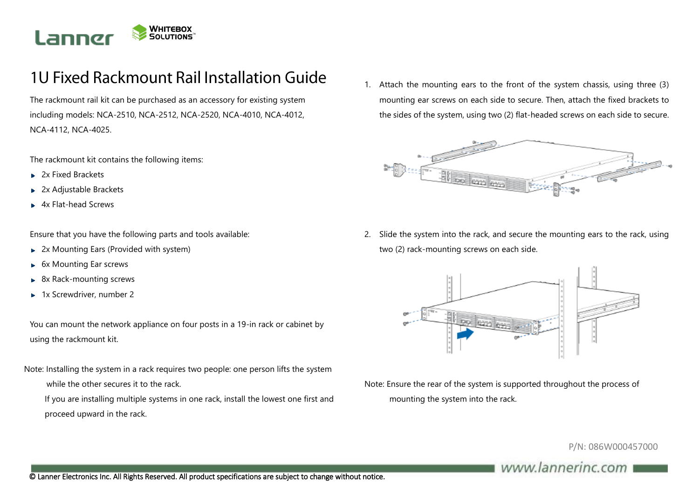

## 1U Fixed Rackmount Rail Installation Guide

The rackmount rail kit can be purchased as an accessory for existing system including models: NCA-2510, NCA-2512, NCA-2520, NCA-4010, NCA-4012, NCA-4112, NCA-4025.

The rackmount kit contains the following items:

- ▶ 2x Fixed Brackets
- 2x Adjustable Brackets Þ.
- 4x Flat-head Screws

Ensure that you have the following parts and tools available:

- 2x Mounting Ears (Provided with system)  $\blacktriangleright$
- 6x Mounting Ear screws  $\blacktriangleright$
- 8x Rack-mounting screws  $\mathbf{p}$
- ► 1x Screwdriver, number 2

You can mount the network appliance on four posts in a 19-in rack or cabinet by using the rackmount kit.

Note: Installing the system in a rack requires two people: one person lifts the system

- while the other secures it to the rack.
- If you are installing multiple systems in one rack, install the lowest one first and proceed upward in the rack.

1. Attach the mounting ears to the front of the system chassis, using three (3) mounting ear screws on each side to secure. Then, attach the fixed brackets to the sides of the system, using two (2) flat-headed screws on each side to secure.



2. Slide the system into the rack, and secure the mounting ears to the rack, using two (2) rack-mounting screws on each side.



Note: Ensure the rear of the system is supported throughout the process of mounting the system into the rack.

P/N: 086W000457000

## www.lannerinc.com

© Lanner Electronics Inc. All Rights Reserved. All product specifications are subject to change without notice.